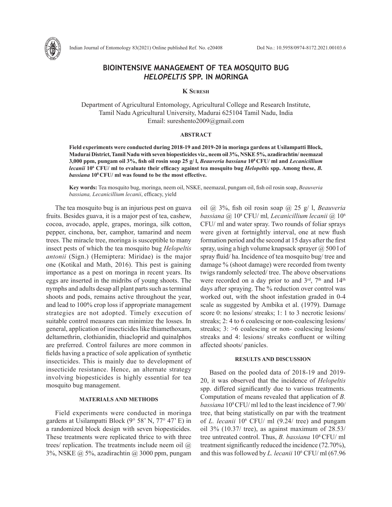

Indian Journal of Entomology 83(2021) Online published Ref. No. e20408 DoI No.: 10.5958/0974-8172.2021.00103.6

# **BIOINTENSIVE MANAGEMENT OF TEA MOSQUITO BUG**  *HELOPELTIS* **SPP. IN MORINGA**

## **K Suresh**

Department of Agricultural Entomology, Agricultural College and Research Institute, Tamil Nadu Agricultural University, Madurai 625104 Tamil Nadu, India Email: sureshento2009@gmail.com

#### **ABSTRACT**

**Field experiments were conducted during 2018-19 and 2019-20 in moringa gardens at Usilampatti Block, Madurai District, Tamil Nadu with seven biopesticides viz., neem oil 3%, NSKE 5%, azadirachtin/ neemazal 3,000 ppm, pungam oil 3%, fish oil rosin soap 25 g/ l,** *Beauveria bassiana* **108 CFU/ ml and** *Lecanicillium lecanii* **106 CFU/ ml to evaluate their efficacy against tea mosquito bug** *Helopeltis* **spp. Among these,** *B. bassiana* **108 CFU/ ml was found to be the most effective.**

**Key words:** Tea mosquito bug, moringa, neem oil, NSKE, neemazal, pungam oil, fish oil rosin soap, *Beauveria bassiana, Lecanicillium lecanii*, efficacy, yield

The tea mosquito bug is an injurious pest on guava fruits. Besides guava, it is a major pest of tea, cashew, cocoa, avocado, apple, grapes, moringa, silk cotton, pepper, cinchona, ber, camphor, tamarind and neem trees. The miracle tree, moringa is susceptible to many insect pests of which the tea mosquito bug *Helopeltis antonii* (Sign.) (Hemiptera: Miridae) is the major one (Kotikal and Math, 2016). This pest is gaining importance as a pest on moringa in recent years. Its eggs are inserted in the midribs of young shoots. The nymphs and adults desap all plant parts such as terminal shoots and pods, remains active throughout the year, and lead to 100% crop loss if appropriate management strategies are not adopted. Timely execution of suitable control measures can minimize the losses. In general, application of insecticides like thiamethoxam, deltamethrin, clothianidin, thiacloprid and quinalphos are preferred. Control failures are more common in fields having a practice of sole application of synthetic insecticides. This is mainly due to development of insecticide resistance. Hence, an alternate strategy involving biopesticides is highly essential for tea mosquito bug management.

### **MATERIALS AND METHODS**

Field experiments were conducted in moringa gardens at Usilampatti Block (9° 58' N, 77° 47' E) in a randomized block design with seven biopesticides. These treatments were replicated thrice to with three trees/ replication. The treatments include neem oil  $\omega$ 3%, NSKE @ 5%, azadirachtin @ 3000 ppm, pungam

oil @ 3%, fish oil rosin soap @ 25 g/ l, *Beauveria bassiana @* 108 CFU/ ml*, Lecanicillium lecanii* @ 106 CFU/ ml and water spray. Two rounds of foliar sprays were given at fortnightly interval, one at new flush formation period and the second at 15 days after the first spray, using a high volume knapsack sprayer  $\omega$  500 l of spray fluid/ ha. Incidence of tea mosquito bug/ tree and damage % (shoot damage) were recorded from twenty twigs randomly selected/ tree. The above observations were recorded on a day prior to and 3rd, 7<sup>th</sup> and 14<sup>th</sup> days after spraying. The % reduction over control was worked out, with the shoot infestation graded in 0-4 scale as suggested by Ambika et al. (1979). Damage score 0: no lesions/ streaks; 1: 1 to 3 necrotic lesions/ streaks; 2: 4 to 6 coalescing or non-coalescing lesions/ streaks; 3: >6 coalescing or non- coalescing lesions/ streaks and 4: lesions/ streaks confluent or wilting affected shoots/ panicles.

# **RESULTS AND DISCUSSION**

Based on the pooled data of 2018-19 and 2019- 20, it was observed that the incidence of *Helopeltis* spp. differed significantly due to various treatments. Computation of means revealed that application of *B. bassiana* 108 CFU/ ml led to the least incidence of 7.90/ tree, that being statistically on par with the treatment of *L. lecanii* 106 CFU/ ml (9.24/ tree) and pungam oil 3% (10.37/ tree), as against maximum of 28.53/ tree untreated control. Thus, *B. bassiana* 108 CFU/ ml treatment significantly reduced the incidence (72.70%), and this was followed by *L. lecanii* 106 CFU/ ml (67.96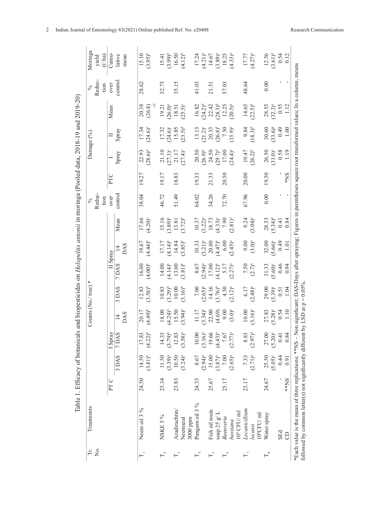| Σó,<br>ΓE.                  | Treatments           |                 |                       |                       |                                                             | ∗<br>Counts (No./ tree)                                               |                                                                                          |                                                                      |                                                                                         | Reduc-<br>tion<br>$\sqrt{6}$ |                 |                                                                                                          | Damage (%)                                                       |                                                                            | Reduc-<br>tion | Moringa<br>yield<br>$(t')$ ha)                                                |
|-----------------------------|----------------------|-----------------|-----------------------|-----------------------|-------------------------------------------------------------|-----------------------------------------------------------------------|------------------------------------------------------------------------------------------|----------------------------------------------------------------------|-----------------------------------------------------------------------------------------|------------------------------|-----------------|----------------------------------------------------------------------------------------------------------|------------------------------------------------------------------|----------------------------------------------------------------------------|----------------|-------------------------------------------------------------------------------|
|                             |                      | PT <sub>C</sub> |                       | I Spray               |                                                             |                                                                       | $\rm II$ Spray                                                                           |                                                                      |                                                                                         | over                         | PTC             |                                                                                                          |                                                                  | Mean                                                                       | over           | Cumu-                                                                         |
|                             |                      |                 | 3 DAS                 | 7 DAS                 |                                                             | 3 DAS                                                                 | 7DAS                                                                                     |                                                                      | Mean                                                                                    | control                      |                 | $\frac{1}{\text{Spray}}$                                                                                 | $\frac{\Pi}{\text{Spray}}$                                       |                                                                            | contro:        | lative                                                                        |
|                             |                      |                 |                       |                       | $\frac{14}{2}$                                              |                                                                       |                                                                                          | $\frac{14}{2}$                                                       |                                                                                         |                              |                 |                                                                                                          |                                                                  |                                                                            |                | mean                                                                          |
|                             | Neem oil 3 %         | 24.50           | 14.50                 | 17.83                 |                                                             |                                                                       |                                                                                          |                                                                      |                                                                                         | 38.04                        | 19.27           |                                                                                                          |                                                                  |                                                                            | 28.62          | 15.10                                                                         |
|                             |                      |                 | $(3.81)^{b}$          | $(4.22)^{b}$          | $(4.49)^b$                                                  | $12.83$<br>(3.58) <sup>b</sup>                                        | $16.00$<br>(4.00) <sup>b</sup>                                                           | $(4.44)^{b}$                                                         | $\frac{17.66}{(4.20)^6}$                                                                |                              |                 | $22.93$<br>$(28.6)^d$                                                                                    | $17.34$<br>(24.6) <sup>e</sup>                                   | $\frac{20.38}{(26.8)}$                                                     |                | $(3.95)^{b}$                                                                  |
| $\mathbb{F}_2$              | NSKE 5%              | 23.34           | 11.50                 | 14.33                 |                                                             |                                                                       | $14.00$<br>$(4.14)^b$<br>$13.00$<br>$(3.81)^b$                                           |                                                                      | $\begin{array}{c} 15.16 \\ (3.89)^{\text{b}} \\ 13.81 \\ (3.72)^{\text{b}} \end{array}$ | 46.72                        | 19.17           |                                                                                                          |                                                                  |                                                                            | 32.73          |                                                                               |
|                             |                      |                 |                       |                       |                                                             |                                                                       |                                                                                          |                                                                      |                                                                                         |                              |                 |                                                                                                          |                                                                  |                                                                            |                |                                                                               |
| $\mathbb{H}^3$              | Azadirachtin/        | 23.83           | $(3.39)^a$<br>10.50   | $(3.79)^b$<br>12.83   |                                                             |                                                                       |                                                                                          |                                                                      |                                                                                         | 51.49                        | 18.83           |                                                                                                          |                                                                  |                                                                            | 35.15          |                                                                               |
|                             | Neemazal<br>3000 ppm |                 | $(3.24)^{a}$          | $(3.58)^{a}$          | $18.00$<br>$(4.24)^6$<br>$15.50$<br>$(3.94)^8$              | $\begin{array}{c} 10.83 \\ (3.29)^b \\ 10.00 \\ (3.16)^b \end{array}$ |                                                                                          | $17.17$<br>$(4.14)^b$<br>$14.84$<br>$14.84$<br>$(3.85)^b$            |                                                                                         |                              |                 | $21.10$ $(27.3)^e$ $21.17$ $(27.4)^e$                                                                    | $17.32$<br>$(24.6)^{o}$<br>$15.85$<br>$15.85$                    | $19.21$<br>$26.0$<br>$18.5$<br>$25.5$                                      |                | 15.41<br>$(3.99)^b$<br>$16.50$<br>$(4.12)^b$                                  |
| $\mathsf{L}_{4}$            | Pungam oil 3 %       | 24.33           | 8.67                  | $10.00$               |                                                             |                                                                       |                                                                                          |                                                                      |                                                                                         | 64.02                        | 19.33           |                                                                                                          |                                                                  |                                                                            | 41.03          |                                                                               |
|                             |                      |                 | $(2.94)^{a}$          | $(3.16)^{a}$<br>19.66 |                                                             |                                                                       |                                                                                          |                                                                      |                                                                                         |                              |                 |                                                                                                          |                                                                  |                                                                            |                |                                                                               |
| $\overline{\Gamma}_o$       | Fish oil rosin       | 25.67           | 15.00                 |                       |                                                             |                                                                       |                                                                                          |                                                                      |                                                                                         | 34.26                        | 21.33           |                                                                                                          |                                                                  |                                                                            | 21.51          |                                                                               |
|                             | soap 25 $g/L$        |                 | $(3.87)$ <sup>b</sup> | $(4.43)^{b}$          | 11.17<br>$(3.34)^a$<br>$(2.00)$<br>$(4.69)$<br>9.00<br>9.00 |                                                                       |                                                                                          |                                                                      |                                                                                         |                              |                 |                                                                                                          |                                                                  | $16.82$<br>$(24.2)^d$<br>$22.42$<br>$(28.3)^d$<br>$(28.3)^d$<br>$(20.5)^n$ |                |                                                                               |
| $\mathbb{F}_{\circ}$        | Baeuveria            | 25.17           | $7.00\,$              | 7.67                  |                                                             |                                                                       |                                                                                          |                                                                      |                                                                                         | 72.70                        | 20.50           |                                                                                                          |                                                                  |                                                                            | 57.03          |                                                                               |
|                             | bassiana             |                 | $(2.65)^{a}$          | $(2.77)^{a}$          |                                                             | 7.00<br>$(2.65)^a$<br>$14.16$<br>$(3.76)^b$<br>$4.50$<br>$(2.12)^a$   | $\begin{array}{c} 8.67 \\ (2.94)^a \\ 17.00 \\ (4.12)^b \\ 5.17 \\ (2.27)^a \end{array}$ | 10.33<br>$(3.21)^a$<br>$20.00$<br>$(4.47)^b$<br>$6.00$<br>$(2.45)^a$ | $10.37$<br>$(3.22)^a$<br>$18.73$<br>$(4.33)^c$<br>$7.90$<br>$(2.81)^a$                  |                              |                 | $20.50$<br>$(26.9)$ <sup>b</sup><br>$24.50$<br>$(29.7)$ <sup>d</sup><br>$17.00$<br>$(24.4)$ <sup>a</sup> | 13.13<br>$(21.2)^e$<br>$20.33$<br>$7.50$<br>$7.50$<br>$(15.9)^a$ |                                                                            |                | $17.24$<br>$(4.21)^{a}$<br>$14.67$<br>$(3.89)^{c}$<br>$18.25$<br>$(4.33)^{a}$ |
|                             | $10^8$ CFU/ $ml$     |                 |                       |                       |                                                             |                                                                       |                                                                                          |                                                                      |                                                                                         |                              |                 |                                                                                                          |                                                                  |                                                                            |                |                                                                               |
| $\Gamma_{7}$                | Lecanicillium        | 23.17           | 7.33                  | 8.83                  | $10.00$<br>$(3.16)^a$                                       | $6.17$<br>(2.48) <sup>a</sup>                                         | $7.50$<br>$(2.7)^{a}$                                                                    | $9.00$<br>(3.0) <sup>a</sup>                                         | 9.24                                                                                    | 67.96                        | 20.00           | $19.47$<br>$(26.2)^b$                                                                                    | $(18.3)^b$                                                       | $14.65$<br>(22.5) <sup>b</sup>                                             | 48.64          | $(4.27)^a$                                                                    |
|                             | lecanii              |                 | $(2.71)^{a}$          | $(2.97)^{a}$          |                                                             |                                                                       |                                                                                          |                                                                      | $(3.04)^{a}$                                                                            |                              |                 |                                                                                                          |                                                                  |                                                                            |                |                                                                               |
|                             | $10^6$ CFU/ml        |                 |                       |                       |                                                             |                                                                       |                                                                                          |                                                                      |                                                                                         |                              |                 |                                                                                                          |                                                                  |                                                                            |                |                                                                               |
| $\mathrel{\sqsubset^\circ}$ | Water spray          | 24.67           | 25.50                 | 27.00                 | $27.83$<br>(5.28) <sup>c</sup>                              | $29.00$<br>$(5.39)^e$                                                 | $31.33$<br>5.60) <sup>e</sup>                                                            | $32.00$<br>$(5.66)^e$                                                | $28.53$<br>(5.34) <sup>d</sup>                                                          | 0.00                         | 19.50           | $26.50$<br>$(31.0)$ <sup>e</sup>                                                                         | $30.60$<br>$(33.6)^8$                                            | $28.55$<br>$(32.3)^e$                                                      | 0.00           | $12.56$<br>$(3.61)^d$                                                         |
|                             |                      |                 | $(5.05)^{c}$          | $(5.20)^{\circ}$      |                                                             |                                                                       |                                                                                          |                                                                      |                                                                                         |                              |                 |                                                                                                          |                                                                  |                                                                            |                |                                                                               |
|                             | <b>SEd</b>           |                 | 0.44                  | 0.41                  | $0.54$<br>1.10                                              | 0.51                                                                  | $0.46$<br>0.94                                                                           | $0.49$<br>1.01                                                       | $0.41$<br>$0.84$                                                                        |                              |                 | $\begin{array}{c} 0.58 \\ 1.19 \end{array}$                                                              | 64.0                                                             | $0.55$<br>1.12                                                             |                | $0.54$<br>$0.12$                                                              |
|                             | 8                    | **NS            | 0.91                  | 0.84                  |                                                             | 1.04                                                                  |                                                                                          |                                                                      |                                                                                         |                              | $\mathbf{SN}^*$ |                                                                                                          | 1.00                                                             |                                                                            |                |                                                                               |

2 Indian Journal of Entomology 83(2021) Online published Ref. No. e20408 Research Communication